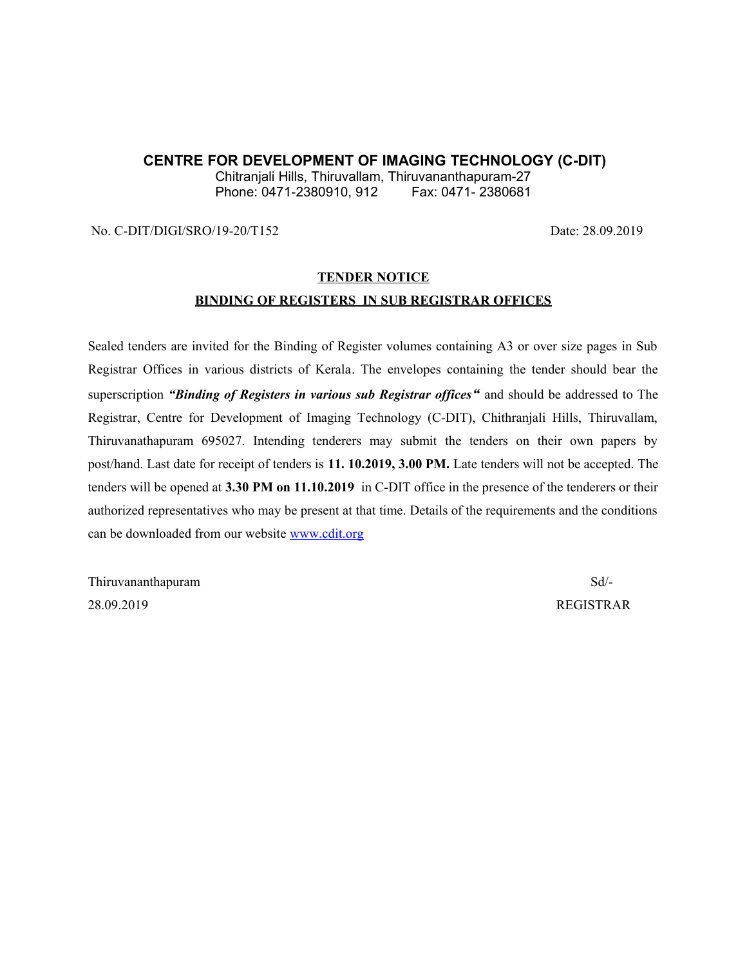#### **CENTRE FOR DEVELOPMENT OF IMAGING TECHNOLOGY (C-DIT)**

Chitranjali Hills, Thiruvallam, Thiruvananthapuram-27 Phone: 0471-2380910, 912

No. C-DIT/DIGI/SRO/19-20/T152 Date: 28.09.2019

# **TENDER NOTICE BINDING OF REGISTERS IN SUB REGISTRAR OFFICES**

Sealed tenders are invited for the Binding of Register volumes containing A3 or over size pages in Sub Registrar Offices in various districts of Kerala. The envelopes containing the tender should bear the superscription *"Binding of Registers in various sub Registrar offices"* and should be addressed to The Registrar, Centre for Development of Imaging Technology (C-DIT), Chithranjali Hills, Thiruvallam, Thiruvanathapuram 695027. Intending tenderers may submit the tenders on their own papers by post/hand. Last date for receipt of tenders is **11. 10.2019, 3.00 PM.** Late tenders will not be accepted. The tenders will be opened at **3.30 PM on 11.10.2019** in C-DIT office in the presence of the tenderers or their authorized representatives who may be present at that time. Details of the requirements and the conditions can be downloaded from our website [www.cdit.org](http://www.cdit.org/)

Thiruvananthapuram Sd/-28.09.2019 REGISTRAR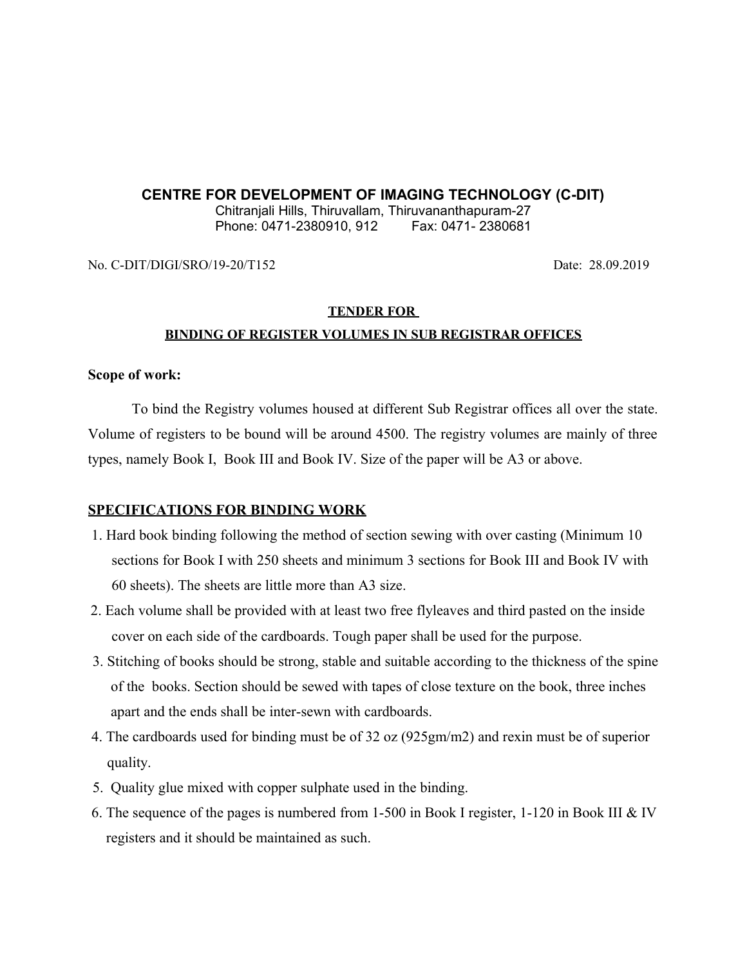# **CENTRE FOR DEVELOPMENT OF IMAGING TECHNOLOGY (C-DIT)**

Chitranjali Hills, Thiruvallam, Thiruvananthapuram-27 Phone: 0471-2380910, 912 Fax: 0471-2380681

No. C-DIT/DIGI/SRO/19-20/T152 Date: 28.09.2019

# **TENDER FOR BINDING OF REGISTER VOLUMES IN SUB REGISTRAR OFFICES**

## **Scope of work:**

To bind the Registry volumes housed at different Sub Registrar offices all over the state. Volume of registers to be bound will be around 4500. The registry volumes are mainly of three types, namely Book I, Book III and Book IV. Size of the paper will be A3 or above.

## **SPECIFICATIONS FOR BINDING WORK**

- 1. Hard book binding following the method of section sewing with over casting (Minimum 10 sections for Book I with 250 sheets and minimum 3 sections for Book III and Book IV with 60 sheets). The sheets are little more than A3 size.
- 2. Each volume shall be provided with at least two free flyleaves and third pasted on the inside cover on each side of the cardboards. Tough paper shall be used for the purpose.
- 3. Stitching of books should be strong, stable and suitable according to the thickness of the spine of the books. Section should be sewed with tapes of close texture on the book, three inches apart and the ends shall be inter-sewn with cardboards.
- 4. The cardboards used for binding must be of 32 oz (925gm/m2) and rexin must be of superior quality.
- 5. Quality glue mixed with copper sulphate used in the binding.
- 6. The sequence of the pages is numbered from 1-500 in Book I register, 1-120 in Book III & IV registers and it should be maintained as such.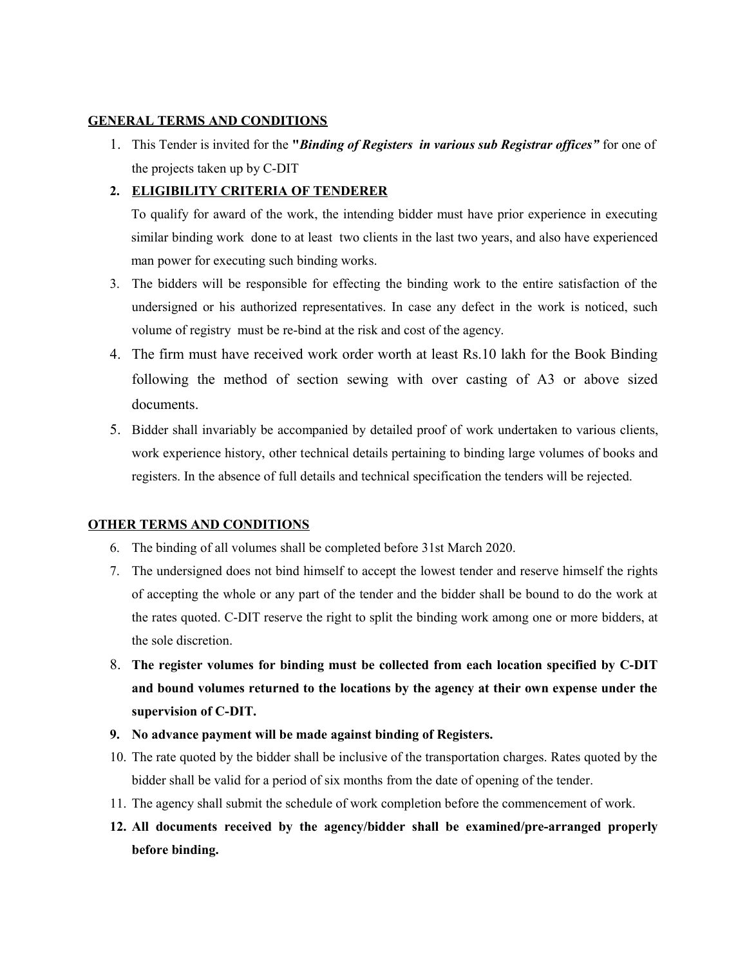#### **GENERAL TERMS AND CONDITIONS**

1. This Tender is invited for the **"***Binding of Registers in various sub Registrar offices"* for one of the projects taken up by C-DIT

#### **2. ELIGIBILITY CRITERIA OF TENDERER**

To qualify for award of the work, the intending bidder must have prior experience in executing similar binding work done to at least two clients in the last two years, and also have experienced man power for executing such binding works.

- 3. The bidders will be responsible for effecting the binding work to the entire satisfaction of the undersigned or his authorized representatives. In case any defect in the work is noticed, such volume of registry must be re-bind at the risk and cost of the agency.
- 4. The firm must have received work order worth at least Rs.10 lakh for the Book Binding following the method of section sewing with over casting of A3 or above sized documents.
- 5. Bidder shall invariably be accompanied by detailed proof of work undertaken to various clients, work experience history, other technical details pertaining to binding large volumes of books and registers. In the absence of full details and technical specification the tenders will be rejected.

#### **OTHER TERMS AND CONDITIONS**

- 6. The binding of all volumes shall be completed before 31st March 2020.
- 7. The undersigned does not bind himself to accept the lowest tender and reserve himself the rights of accepting the whole or any part of the tender and the bidder shall be bound to do the work at the rates quoted. C-DIT reserve the right to split the binding work among one or more bidders, at the sole discretion.
- 8. **The register volumes for binding must be collected from each location specified by C-DIT and bound volumes returned to the locations by the agency at their own expense under the supervision of C-DIT.**
- **9. No advance payment will be made against binding of Registers.**
- 10. The rate quoted by the bidder shall be inclusive of the transportation charges. Rates quoted by the bidder shall be valid for a period of six months from the date of opening of the tender.
- 11. The agency shall submit the schedule of work completion before the commencement of work.
- **12. All documents received by the agency/bidder shall be examined/pre-arranged properly before binding.**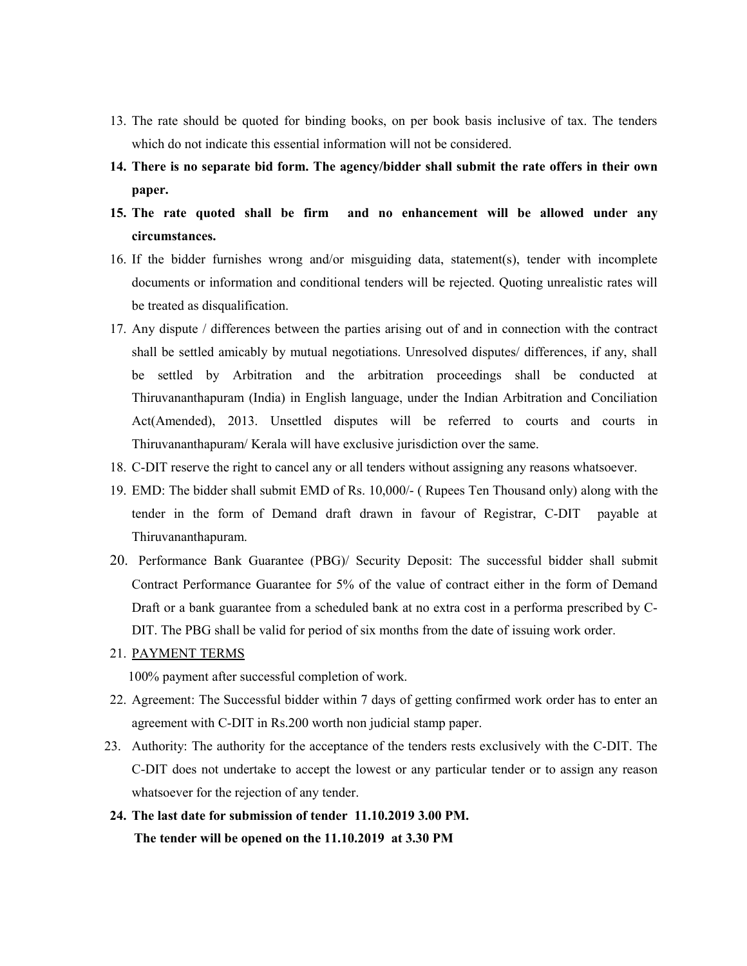- 13. The rate should be quoted for binding books, on per book basis inclusive of tax. The tenders which do not indicate this essential information will not be considered.
- **14. There is no separate bid form. The agency/bidder shall submit the rate offers in their own paper.**
- **15. The rate quoted shall be firm and no enhancement will be allowed under any circumstances.**
- 16. If the bidder furnishes wrong and/or misguiding data, statement(s), tender with incomplete documents or information and conditional tenders will be rejected. Quoting unrealistic rates will be treated as disqualification.
- 17. Any dispute / differences between the parties arising out of and in connection with the contract shall be settled amicably by mutual negotiations. Unresolved disputes/ differences, if any, shall be settled by Arbitration and the arbitration proceedings shall be conducted at Thiruvananthapuram (India) in English language, under the Indian Arbitration and Conciliation Act(Amended), 2013. Unsettled disputes will be referred to courts and courts in Thiruvananthapuram/ Kerala will have exclusive jurisdiction over the same.
- 18. C-DIT reserve the right to cancel any or all tenders without assigning any reasons whatsoever.
- 19. EMD: The bidder shall submit EMD of Rs. 10,000/- ( Rupees Ten Thousand only) along with the tender in the form of Demand draft drawn in favour of Registrar, C-DIT payable at Thiruvananthapuram.
- 20. Performance Bank Guarantee (PBG)/ Security Deposit: The successful bidder shall submit Contract Performance Guarantee for 5% of the value of contract either in the form of Demand Draft or a bank guarantee from a scheduled bank at no extra cost in a performa prescribed by C-DIT. The PBG shall be valid for period of six months from the date of issuing work order.
- 21. PAYMENT TERMS

100% payment after successful completion of work.

- 22. Agreement: The Successful bidder within 7 days of getting confirmed work order has to enter an agreement with C-DIT in Rs.200 worth non judicial stamp paper.
- 23. Authority: The authority for the acceptance of the tenders rests exclusively with the C-DIT. The C-DIT does not undertake to accept the lowest or any particular tender or to assign any reason whatsoever for the rejection of any tender.
- **24. The last date for submission of tender 11.10.2019 3.00 PM. The tender will be opened on the 11.10.2019 at 3.30 PM**